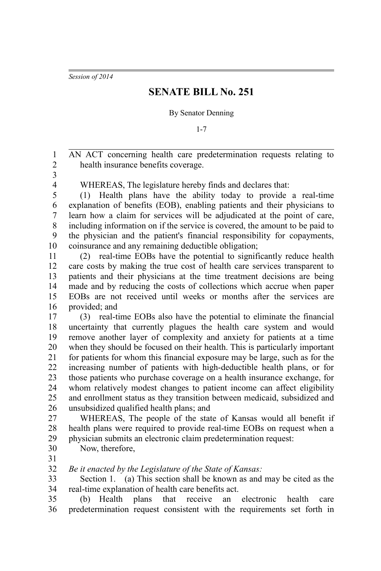*Session of 2014*

## **SENATE BILL No. 251**

By Senator Denning

1-7

AN ACT concerning health care predetermination requests relating to health insurance benefits coverage. 1 2

3 4

WHEREAS, The legislature hereby finds and declares that:

(1) Health plans have the ability today to provide a real-time explanation of benefits (EOB), enabling patients and their physicians to learn how a claim for services will be adjudicated at the point of care, including information on if the service is covered, the amount to be paid to the physician and the patient's financial responsibility for copayments, coinsurance and any remaining deductible obligation; 5 6 7 8 9 10

(2) real-time EOBs have the potential to significantly reduce health care costs by making the true cost of health care services transparent to patients and their physicians at the time treatment decisions are being made and by reducing the costs of collections which accrue when paper EOBs are not received until weeks or months after the services are provided; and 11 12 13 14 15 16

(3) real-time EOBs also have the potential to eliminate the financial uncertainty that currently plagues the health care system and would remove another layer of complexity and anxiety for patients at a time when they should be focused on their health. This is particularly important for patients for whom this financial exposure may be large, such as for the increasing number of patients with high-deductible health plans, or for those patients who purchase coverage on a health insurance exchange, for whom relatively modest changes to patient income can affect eligibility and enrollment status as they transition between medicaid, subsidized and unsubsidized qualified health plans; and 17 18 19 20 21 22 23 24 25 26

WHEREAS, The people of the state of Kansas would all benefit if health plans were required to provide real-time EOBs on request when a physician submits an electronic claim predetermination request: 27 28 29

- Now, therefore, 30
- 31

*Be it enacted by the Legislature of the State of Kansas:* 32

Section 1. (a) This section shall be known as and may be cited as the real-time explanation of health care benefits act. 33 34

(b) Health plans that receive an electronic health care predetermination request consistent with the requirements set forth in 35 36